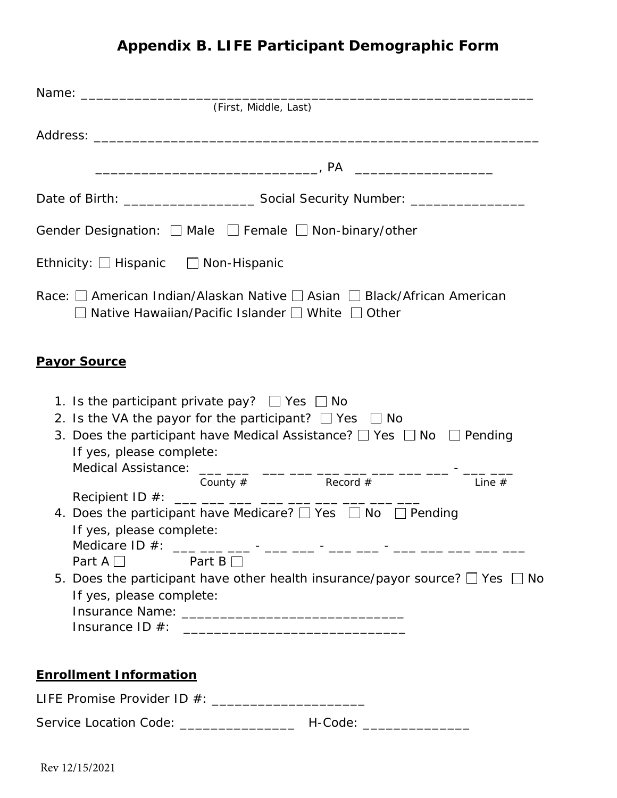## **Appendix B. LIFE Participant Demographic Form**

| (First, Middle, Last)                                                                                                                                                                                                                                                                                                                                                                                                                         |
|-----------------------------------------------------------------------------------------------------------------------------------------------------------------------------------------------------------------------------------------------------------------------------------------------------------------------------------------------------------------------------------------------------------------------------------------------|
|                                                                                                                                                                                                                                                                                                                                                                                                                                               |
|                                                                                                                                                                                                                                                                                                                                                                                                                                               |
|                                                                                                                                                                                                                                                                                                                                                                                                                                               |
| Gender Designation: □ Male □ Female □ Non-binary/other                                                                                                                                                                                                                                                                                                                                                                                        |
| Ethnicity: $\Box$ Hispanic $\Box$ Non-Hispanic                                                                                                                                                                                                                                                                                                                                                                                                |
| Race: $\Box$ American Indian/Alaskan Native $\Box$ Asian $\Box$ Black/African American<br>Native Hawaiian/Pacific Islander □ White □ Other                                                                                                                                                                                                                                                                                                    |
| <b>Payor Source</b>                                                                                                                                                                                                                                                                                                                                                                                                                           |
| 1. Is the participant private pay? $\Box$ Yes $\Box$ No<br>2. Is the VA the payor for the participant? $\Box$ Yes $\Box$ No<br>3. Does the participant have Medical Assistance? $\Box$ Yes $\Box$ No $\Box$ Pending<br>If yes, please complete:<br>Medical Assistance:<br>___ ___ ___ ___ ___ ___ ___ ___                                                                                                                                     |
| County $#$ Record $#$<br>Line $#$<br>Recipient ID #: ___ ___ ___ ___ ___ ___ ___ ___ ___<br>4. Does the participant have Medicare? $\Box$ Yes $\Box$ No $\Box$ Pending<br>If yes, please complete:<br>Medicare ID #: ___ ___ ___ - ___ - ___ - ___ - ___ - ___ - ___ -__ ___ ___ ___ ___<br>Part $A \Box$ Part $B \Box$<br>5. Does the participant have other health insurance/payor source? $\Box$ Yes $\Box$ No<br>If yes, please complete: |
| <b>Enrollment Information</b>                                                                                                                                                                                                                                                                                                                                                                                                                 |
| LIFE Promise Provider ID #: _________________________                                                                                                                                                                                                                                                                                                                                                                                         |
| Service Location Code: ________________<br>H-Code: __________________                                                                                                                                                                                                                                                                                                                                                                         |